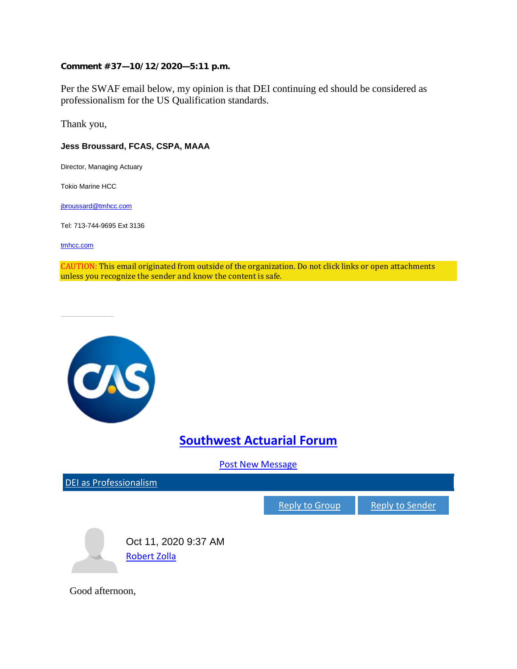## **Comment #37—10/12/2020—5:11 p.m.**

Per the SWAF email below, my opinion is that DEI continuing ed should be considered as professionalism for the US Qualification standards.

Thank you,

## **Jess Broussard, FCAS, CSPA, MAAA**

Director, Managing Actuary

Tokio Marine HCC

[jbroussard@tmhcc.com](mailto:jbroussard@tmhcc.com)

Tel: 713-744-9695 Ext 3136

[tmhcc.com](https://www.tmhcc.com/en-us/)

CAUTION: This email originated from outside of the organization. Do not click links or open attachments unless you recognize the sender and know the content is safe.

God afternoon, We are currently with a topic and including to the SWAF F all meeting to the SWAF F all meeting the...



## **[Southwest Actuarial Forum](https://nam01.safelinks.protection.outlook.com/?url=https%3A%2F%2Fcommunity.casact.org%2Fcommunities%2Fcommunity-home%2Fdigestviewer%3Ftab%3Ddigestviewer%26CommunityKey%3D89223c51-c1a9-4c16-93c0-3a73230dd8a8&data=02%7C01%7Cjbroussard%40tmhcc.com%7C0525bf646cd94038154b08d86deaab5a%7C59744b1f09454a40984cc30b382e5dec%7C0%7C0%7C637380201952969413&sdata=g5cWP6oTR1lml2amSWhF3qSdYbJabRLn3g2gjknBJys%3D&reserved=0)**

[Post New Message](mailto:CAS-swaf@ConnectedCommunity.org)

[DEI as Professionalism](https://nam01.safelinks.protection.outlook.com/?url=https%3A%2F%2Fcommunity.casact.org%2Fcommunities%2Fcommunity-home%2Fdigestviewer%2Fviewthread%3FMessageKey%3D48205791-db7a-4bfb-9caa-010b1eec0cfa%26CommunityKey%3D89223c51-c1a9-4c16-93c0-3a73230dd8a8%26tab%3Ddigestviewer%23bm48205791-db7a-4bfb-9caa-010b1eec0cfa&data=02%7C01%7Cjbroussard%40tmhcc.com%7C0525bf646cd94038154b08d86deaab5a%7C59744b1f09454a40984cc30b382e5dec%7C0%7C0%7C637380201952969413&sdata=P9SQn7r3EZ%2BzQIpaUc%2Bgh0cqNL71v%2FfkL8%2FPgGjcZ4M%3D&reserved=0)

[Reply to Group](mailto:CAS_swaf_48205791-db7a-4bfb-9caa-010b1eec0cfa@ConnectedCommunity.org?subject=Re:%20DEI%20as%20Professionalism) [Reply to Sender](https://nam01.safelinks.protection.outlook.com/?url=https%3A%2F%2Fcommunity.casact.org%2Fcommunities%2Fall-discussions%2Fpostreply%3FMessageKey%3D48205791-db7a-4bfb-9caa-010b1eec0cfa%26ListKey%3Da96dda46-99b3-40d1-a8b5-a80b9d655411%26SenderKey%3D6a11e6d3-d9a4-430f-943e-89b4da7a0c1f&data=02%7C01%7Cjbroussard%40tmhcc.com%7C0525bf646cd94038154b08d86deaab5a%7C59744b1f09454a40984cc30b382e5dec%7C0%7C0%7C637380201952979407&sdata=Na1hMBl92nMaROv%2Bri8XOlHI%2BaBBgIeyIzKP2zCreB0%3D&reserved=0)



Good afternoon,